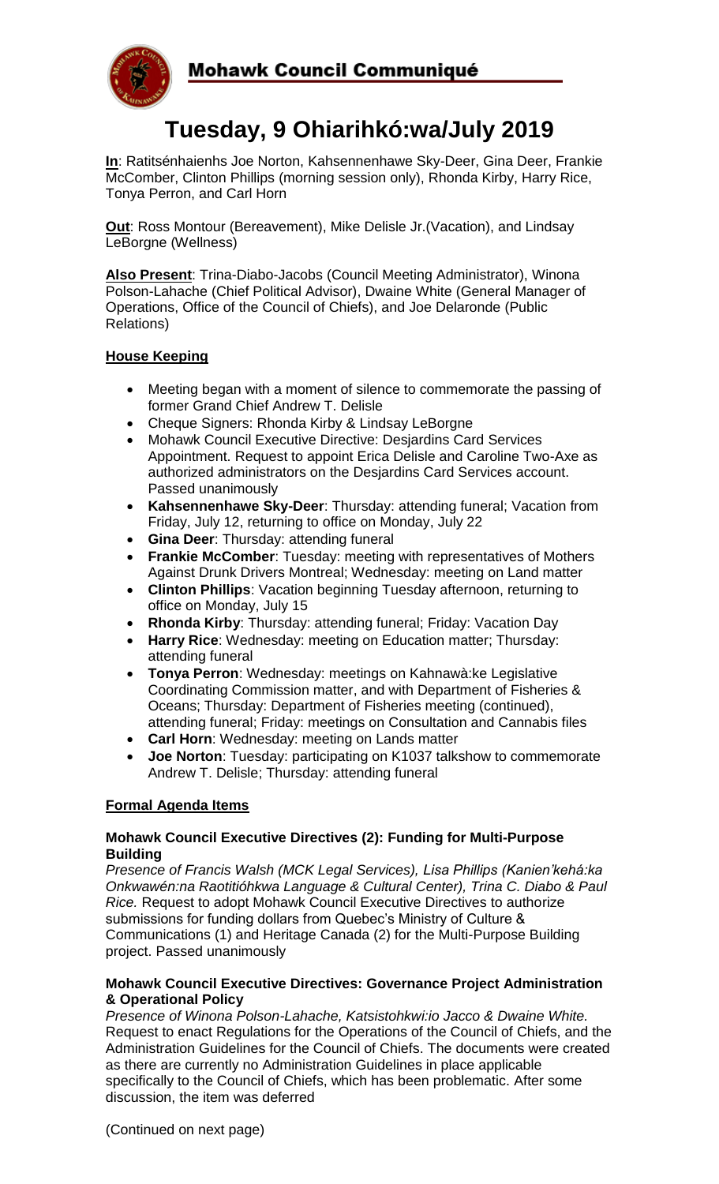

# **Tuesday, 9 Ohiarihkó:wa/July 2019**

**In**: Ratitsénhaienhs Joe Norton, Kahsennenhawe Sky-Deer, Gina Deer, Frankie McComber, Clinton Phillips (morning session only), Rhonda Kirby, Harry Rice, Tonya Perron, and Carl Horn

**Out:** Ross Montour (Bereavement), Mike Delisle Jr. (Vacation), and Lindsay LeBorgne (Wellness)

**Also Present**: Trina-Diabo-Jacobs (Council Meeting Administrator), Winona Polson-Lahache (Chief Political Advisor), Dwaine White (General Manager of Operations, Office of the Council of Chiefs), and Joe Delaronde (Public Relations)

## **House Keeping**

- Meeting began with a moment of silence to commemorate the passing of former Grand Chief Andrew T. Delisle
- Cheque Signers: Rhonda Kirby & Lindsay LeBorgne
- Mohawk Council Executive Directive: Desjardins Card Services Appointment. Request to appoint Erica Delisle and Caroline Two-Axe as authorized administrators on the Desjardins Card Services account. Passed unanimously
- **Kahsennenhawe Sky-Deer**: Thursday: attending funeral; Vacation from Friday, July 12, returning to office on Monday, July 22
- **Gina Deer**: Thursday: attending funeral
- **Frankie McComber**: Tuesday: meeting with representatives of Mothers Against Drunk Drivers Montreal; Wednesday: meeting on Land matter
- **Clinton Phillips**: Vacation beginning Tuesday afternoon, returning to office on Monday, July 15
- **Rhonda Kirby**: Thursday: attending funeral; Friday: Vacation Day
- **Harry Rice**: Wednesday: meeting on Education matter; Thursday: attending funeral
- **Tonya Perron**: Wednesday: meetings on Kahnawà:ke Legislative Coordinating Commission matter, and with Department of Fisheries & Oceans; Thursday: Department of Fisheries meeting (continued), attending funeral; Friday: meetings on Consultation and Cannabis files
- **Carl Horn**: Wednesday: meeting on Lands matter
- **Joe Norton**: Tuesday: participating on K1037 talkshow to commemorate Andrew T. Delisle; Thursday: attending funeral

## **Formal Agenda Items**

### **Mohawk Council Executive Directives (2): Funding for Multi-Purpose Building**

*Presence of Francis Walsh (MCK Legal Services), Lisa Phillips (Kanien'kehá:ka Onkwawén:na Raotitióhkwa Language & Cultural Center), Trina C. Diabo & Paul Rice.* Request to adopt Mohawk Council Executive Directives to authorize submissions for funding dollars from Quebec's Ministry of Culture & Communications (1) and Heritage Canada (2) for the Multi-Purpose Building project. Passed unanimously

## **Mohawk Council Executive Directives: Governance Project Administration & Operational Policy**

*Presence of Winona Polson-Lahache, Katsistohkwi:io Jacco & Dwaine White.*  Request to enact Regulations for the Operations of the Council of Chiefs, and the Administration Guidelines for the Council of Chiefs. The documents were created as there are currently no Administration Guidelines in place applicable specifically to the Council of Chiefs, which has been problematic. After some discussion, the item was deferred